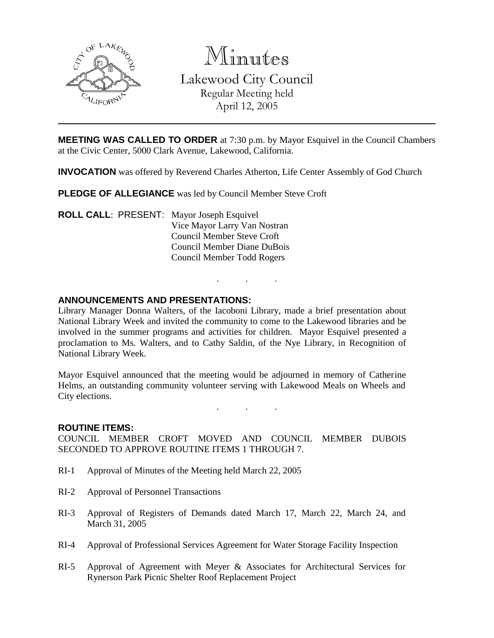

Minutes Lakewood City Council Regular Meeting held April 12, 2005

**MEETING WAS CALLED TO ORDER** at 7:30 p.m. by Mayor Esquivel in the Council Chambers at the Civic Center, 5000 Clark Avenue, Lakewood, California.

**INVOCATION** was offered by Reverend Charles Atherton, Life Center Assembly of God Church

**PLEDGE OF ALLEGIANCE** was led by Council Member Steve Croft

**ROLL CALL**: PRESENT: Mayor Joseph Esquivel Vice Mayor Larry Van Nostran Council Member Steve Croft Council Member Diane DuBois Council Member Todd Rogers

### **ANNOUNCEMENTS AND PRESENTATIONS:**

Library Manager Donna Walters, of the Iacoboni Library, made a brief presentation about National Library Week and invited the community to come to the Lakewood libraries and be involved in the summer programs and activities for children. Mayor Esquivel presented a proclamation to Ms. Walters, and to Cathy Saldin, of the Nye Library, in Recognition of National Library Week.

. . .

Mayor Esquivel announced that the meeting would be adjourned in memory of Catherine Helms, an outstanding community volunteer serving with Lakewood Meals on Wheels and City elections.

. . .

#### **ROUTINE ITEMS:**

COUNCIL MEMBER CROFT MOVED AND COUNCIL MEMBER DUBOIS SECONDED TO APPROVE ROUTINE ITEMS 1 THROUGH 7.

- RI-1 Approval of Minutes of the Meeting held March 22, 2005
- RI-2 Approval of Personnel Transactions
- RI-3 Approval of Registers of Demands dated March 17, March 22, March 24, and March 31, 2005
- RI-4 Approval of Professional Services Agreement for Water Storage Facility Inspection
- RI-5 Approval of Agreement with Meyer & Associates for Architectural Services for Rynerson Park Picnic Shelter Roof Replacement Project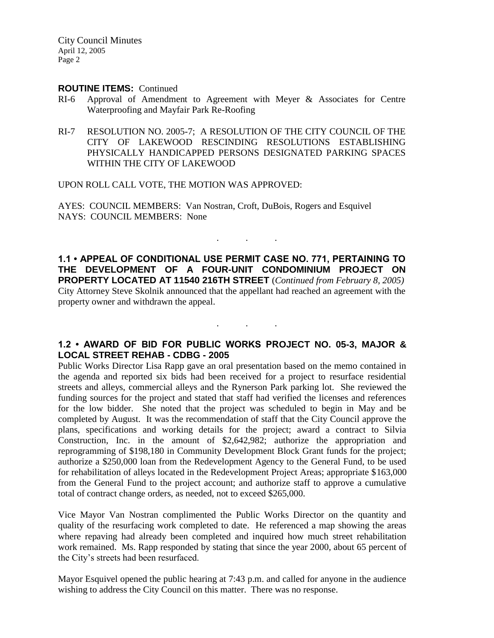#### **ROUTINE ITEMS:** Continued

- RI-6 Approval of Amendment to Agreement with Meyer & Associates for Centre Waterproofing and Mayfair Park Re-Roofing
- RI-7 RESOLUTION NO. 2005-7; A RESOLUTION OF THE CITY COUNCIL OF THE CITY OF LAKEWOOD RESCINDING RESOLUTIONS ESTABLISHING PHYSICALLY HANDICAPPED PERSONS DESIGNATED PARKING SPACES WITHIN THE CITY OF LAKEWOOD

UPON ROLL CALL VOTE, THE MOTION WAS APPROVED:

AYES: COUNCIL MEMBERS: Van Nostran, Croft, DuBois, Rogers and Esquivel NAYS: COUNCIL MEMBERS: None

**1.1 • APPEAL OF CONDITIONAL USE PERMIT CASE NO. 771, PERTAINING TO THE DEVELOPMENT OF A FOUR-UNIT CONDOMINIUM PROJECT ON PROPERTY LOCATED AT 11540 216TH STREET** (*Continued from February 8, 2005)* City Attorney Steve Skolnik announced that the appellant had reached an agreement with the property owner and withdrawn the appeal.

. . .

## **1.2 • AWARD OF BID FOR PUBLIC WORKS PROJECT NO. 05-3, MAJOR & LOCAL STREET REHAB - CDBG - 2005**

. . .

Public Works Director Lisa Rapp gave an oral presentation based on the memo contained in the agenda and reported six bids had been received for a project to resurface residential streets and alleys, commercial alleys and the Rynerson Park parking lot. She reviewed the funding sources for the project and stated that staff had verified the licenses and references for the low bidder. She noted that the project was scheduled to begin in May and be completed by August. It was the recommendation of staff that the City Council approve the plans, specifications and working details for the project; award a contract to Silvia Construction, Inc. in the amount of \$2,642,982; authorize the appropriation and reprogramming of \$198,180 in Community Development Block Grant funds for the project; authorize a \$250,000 loan from the Redevelopment Agency to the General Fund, to be used for rehabilitation of alleys located in the Redevelopment Project Areas; appropriate \$163,000 from the General Fund to the project account; and authorize staff to approve a cumulative total of contract change orders, as needed, not to exceed \$265,000.

Vice Mayor Van Nostran complimented the Public Works Director on the quantity and quality of the resurfacing work completed to date. He referenced a map showing the areas where repaving had already been completed and inquired how much street rehabilitation work remained. Ms. Rapp responded by stating that since the year 2000, about 65 percent of the City's streets had been resurfaced.

Mayor Esquivel opened the public hearing at 7:43 p.m. and called for anyone in the audience wishing to address the City Council on this matter. There was no response.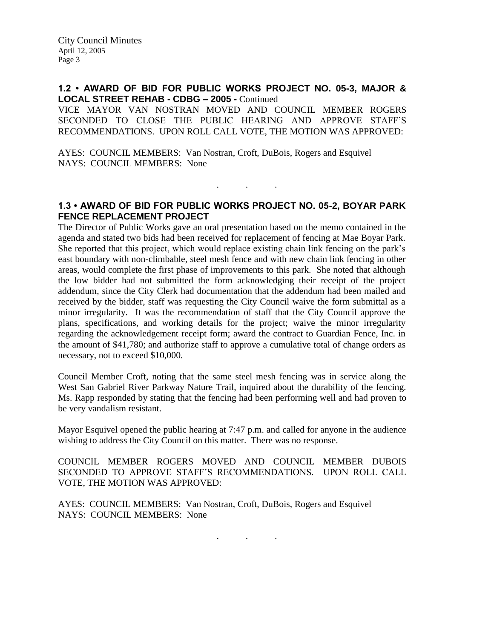### **1.2 • AWARD OF BID FOR PUBLIC WORKS PROJECT NO. 05-3, MAJOR & LOCAL STREET REHAB - CDBG – 2005 -** Continued

VICE MAYOR VAN NOSTRAN MOVED AND COUNCIL MEMBER ROGERS SECONDED TO CLOSE THE PUBLIC HEARING AND APPROVE STAFF'S RECOMMENDATIONS. UPON ROLL CALL VOTE, THE MOTION WAS APPROVED:

AYES: COUNCIL MEMBERS: Van Nostran, Croft, DuBois, Rogers and Esquivel NAYS: COUNCIL MEMBERS: None

## **1.3 • AWARD OF BID FOR PUBLIC WORKS PROJECT NO. 05-2, BOYAR PARK FENCE REPLACEMENT PROJECT**

. . .

The Director of Public Works gave an oral presentation based on the memo contained in the agenda and stated two bids had been received for replacement of fencing at Mae Boyar Park. She reported that this project, which would replace existing chain link fencing on the park's east boundary with non-climbable, steel mesh fence and with new chain link fencing in other areas, would complete the first phase of improvements to this park. She noted that although the low bidder had not submitted the form acknowledging their receipt of the project addendum, since the City Clerk had documentation that the addendum had been mailed and received by the bidder, staff was requesting the City Council waive the form submittal as a minor irregularity. It was the recommendation of staff that the City Council approve the plans, specifications, and working details for the project; waive the minor irregularity regarding the acknowledgement receipt form; award the contract to Guardian Fence, Inc. in the amount of \$41,780; and authorize staff to approve a cumulative total of change orders as necessary, not to exceed \$10,000.

Council Member Croft, noting that the same steel mesh fencing was in service along the West San Gabriel River Parkway Nature Trail, inquired about the durability of the fencing. Ms. Rapp responded by stating that the fencing had been performing well and had proven to be very vandalism resistant.

Mayor Esquivel opened the public hearing at 7:47 p.m. and called for anyone in the audience wishing to address the City Council on this matter. There was no response.

COUNCIL MEMBER ROGERS MOVED AND COUNCIL MEMBER DUBOIS SECONDED TO APPROVE STAFF'S RECOMMENDATIONS. UPON ROLL CALL VOTE, THE MOTION WAS APPROVED:

AYES: COUNCIL MEMBERS: Van Nostran, Croft, DuBois, Rogers and Esquivel NAYS: COUNCIL MEMBERS: None

. . .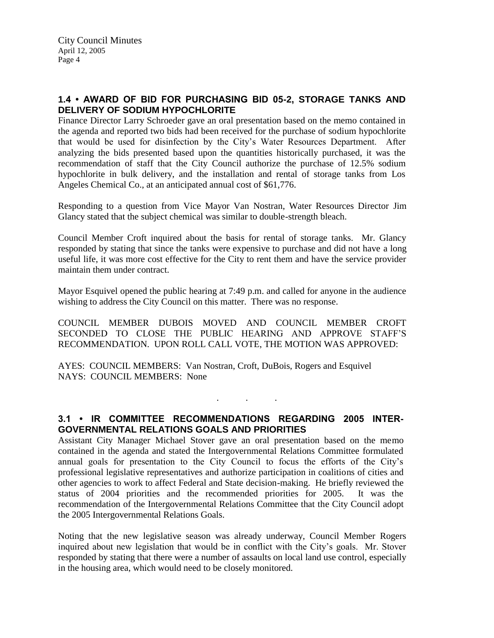# **1.4 • AWARD OF BID FOR PURCHASING BID 05-2, STORAGE TANKS AND DELIVERY OF SODIUM HYPOCHLORITE**

Finance Director Larry Schroeder gave an oral presentation based on the memo contained in the agenda and reported two bids had been received for the purchase of sodium hypochlorite that would be used for disinfection by the City's Water Resources Department. After analyzing the bids presented based upon the quantities historically purchased, it was the recommendation of staff that the City Council authorize the purchase of 12.5% sodium hypochlorite in bulk delivery, and the installation and rental of storage tanks from Los Angeles Chemical Co., at an anticipated annual cost of \$61,776.

Responding to a question from Vice Mayor Van Nostran, Water Resources Director Jim Glancy stated that the subject chemical was similar to double-strength bleach.

Council Member Croft inquired about the basis for rental of storage tanks. Mr. Glancy responded by stating that since the tanks were expensive to purchase and did not have a long useful life, it was more cost effective for the City to rent them and have the service provider maintain them under contract.

Mayor Esquivel opened the public hearing at 7:49 p.m. and called for anyone in the audience wishing to address the City Council on this matter. There was no response.

COUNCIL MEMBER DUBOIS MOVED AND COUNCIL MEMBER CROFT SECONDED TO CLOSE THE PUBLIC HEARING AND APPROVE STAFF'S RECOMMENDATION. UPON ROLL CALL VOTE, THE MOTION WAS APPROVED:

AYES: COUNCIL MEMBERS: Van Nostran, Croft, DuBois, Rogers and Esquivel NAYS: COUNCIL MEMBERS: None

### **3.1 • IR COMMITTEE RECOMMENDATIONS REGARDING 2005 INTER-GOVERNMENTAL RELATIONS GOALS AND PRIORITIES**

. . .

Assistant City Manager Michael Stover gave an oral presentation based on the memo contained in the agenda and stated the Intergovernmental Relations Committee formulated annual goals for presentation to the City Council to focus the efforts of the City's professional legislative representatives and authorize participation in coalitions of cities and other agencies to work to affect Federal and State decision-making. He briefly reviewed the status of 2004 priorities and the recommended priorities for 2005. It was the recommendation of the Intergovernmental Relations Committee that the City Council adopt the 2005 Intergovernmental Relations Goals.

Noting that the new legislative season was already underway, Council Member Rogers inquired about new legislation that would be in conflict with the City's goals. Mr. Stover responded by stating that there were a number of assaults on local land use control, especially in the housing area, which would need to be closely monitored.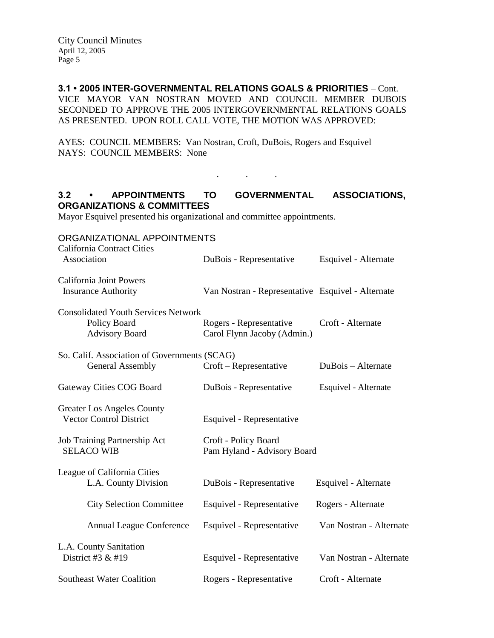**3.1 • 2005 INTER-GOVERNMENTAL RELATIONS GOALS & PRIORITIES** – Cont. VICE MAYOR VAN NOSTRAN MOVED AND COUNCIL MEMBER DUBOIS SECONDED TO APPROVE THE 2005 INTERGOVERNMENTAL RELATIONS GOALS AS PRESENTED. UPON ROLL CALL VOTE, THE MOTION WAS APPROVED:

AYES: COUNCIL MEMBERS: Van Nostran, Croft, DuBois, Rogers and Esquivel NAYS: COUNCIL MEMBERS: None

## **3.2 • APPOINTMENTS TO GOVERNMENTAL ASSOCIATIONS, ORGANIZATIONS & COMMITTEES**

. . .

Mayor Esquivel presented his organizational and committee appointments.

| ORGANIZATIONAL APPOINTMENTS<br><b>California Contract Cities</b>                    |                                                        |                         |
|-------------------------------------------------------------------------------------|--------------------------------------------------------|-------------------------|
| Association                                                                         | DuBois - Representative                                | Esquivel - Alternate    |
| <b>California Joint Powers</b><br><b>Insurance Authority</b>                        | Van Nostran - Representative Esquivel - Alternate      |                         |
| <b>Consolidated Youth Services Network</b><br>Policy Board<br><b>Advisory Board</b> | Rogers - Representative<br>Carol Flynn Jacoby (Admin.) | Croft - Alternate       |
| So. Calif. Association of Governments (SCAG)<br><b>General Assembly</b>             | Croft – Representative                                 | DuBois - Alternate      |
| Gateway Cities COG Board                                                            | DuBois - Representative                                | Esquivel - Alternate    |
| <b>Greater Los Angeles County</b><br><b>Vector Control District</b>                 | Esquivel - Representative                              |                         |
| Job Training Partnership Act<br><b>SELACO WIB</b>                                   | Croft - Policy Board<br>Pam Hyland - Advisory Board    |                         |
| League of California Cities<br>L.A. County Division                                 | DuBois - Representative                                | Esquivel - Alternate    |
| <b>City Selection Committee</b>                                                     | Esquivel - Representative                              | Rogers - Alternate      |
| <b>Annual League Conference</b>                                                     | Esquivel - Representative                              | Van Nostran - Alternate |
| L.A. County Sanitation<br>District #3 $&$ #19                                       | Esquivel - Representative                              | Van Nostran - Alternate |
| <b>Southeast Water Coalition</b>                                                    | Rogers - Representative                                | Croft - Alternate       |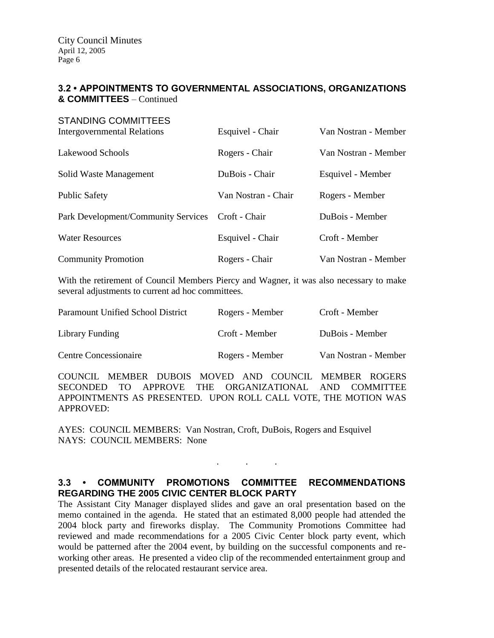# **3.2 • APPOINTMENTS TO GOVERNMENTAL ASSOCIATIONS, ORGANIZATIONS & COMMITTEES** – Continued

| <b>STANDING COMMITTEES</b><br><b>Intergovernmental Relations</b> | Esquivel - Chair    | Van Nostran - Member |
|------------------------------------------------------------------|---------------------|----------------------|
| Lakewood Schools                                                 | Rogers - Chair      | Van Nostran - Member |
| Solid Waste Management                                           | DuBois - Chair      | Esquivel - Member    |
| <b>Public Safety</b>                                             | Van Nostran - Chair | Rogers - Member      |
| Park Development/Community Services Croft - Chair                |                     | DuBois - Member      |
| <b>Water Resources</b>                                           | Esquivel - Chair    | Croft - Member       |
| <b>Community Promotion</b>                                       | Rogers - Chair      | Van Nostran - Member |

With the retirement of Council Members Piercy and Wagner, it was also necessary to make several adjustments to current ad hoc committees.

| Paramount Unified School District<br>Library Funding | Rogers - Member<br>Croft - Member | Croft - Member<br>DuBois - Member |
|------------------------------------------------------|-----------------------------------|-----------------------------------|
|                                                      |                                   |                                   |

COUNCIL MEMBER DUBOIS MOVED AND COUNCIL MEMBER ROGERS SECONDED TO APPROVE THE ORGANIZATIONAL AND COMMITTEE APPOINTMENTS AS PRESENTED. UPON ROLL CALL VOTE, THE MOTION WAS APPROVED:

AYES: COUNCIL MEMBERS: Van Nostran, Croft, DuBois, Rogers and Esquivel NAYS: COUNCIL MEMBERS: None

# **3.3 • COMMUNITY PROMOTIONS COMMITTEE RECOMMENDATIONS REGARDING THE 2005 CIVIC CENTER BLOCK PARTY**

. . .

The Assistant City Manager displayed slides and gave an oral presentation based on the memo contained in the agenda. He stated that an estimated 8,000 people had attended the 2004 block party and fireworks display. The Community Promotions Committee had reviewed and made recommendations for a 2005 Civic Center block party event, which would be patterned after the 2004 event, by building on the successful components and reworking other areas. He presented a video clip of the recommended entertainment group and presented details of the relocated restaurant service area.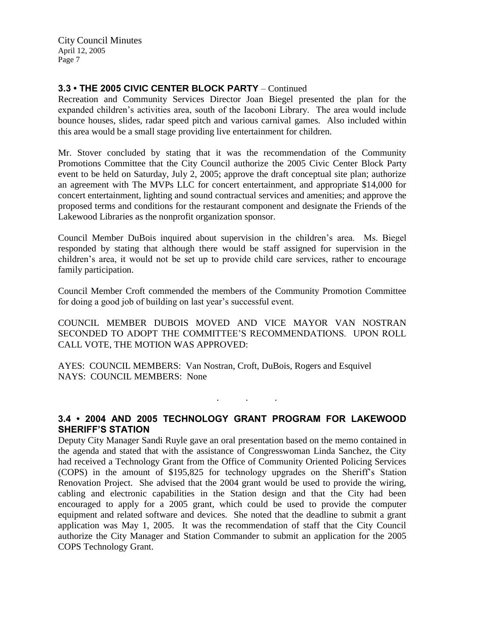## **3.3 • THE 2005 CIVIC CENTER BLOCK PARTY** – Continued

Recreation and Community Services Director Joan Biegel presented the plan for the expanded children's activities area, south of the Iacoboni Library. The area would include bounce houses, slides, radar speed pitch and various carnival games. Also included within this area would be a small stage providing live entertainment for children.

Mr. Stover concluded by stating that it was the recommendation of the Community Promotions Committee that the City Council authorize the 2005 Civic Center Block Party event to be held on Saturday, July 2, 2005; approve the draft conceptual site plan; authorize an agreement with The MVPs LLC for concert entertainment, and appropriate \$14,000 for concert entertainment, lighting and sound contractual services and amenities; and approve the proposed terms and conditions for the restaurant component and designate the Friends of the Lakewood Libraries as the nonprofit organization sponsor.

Council Member DuBois inquired about supervision in the children's area. Ms. Biegel responded by stating that although there would be staff assigned for supervision in the children's area, it would not be set up to provide child care services, rather to encourage family participation.

Council Member Croft commended the members of the Community Promotion Committee for doing a good job of building on last year's successful event.

COUNCIL MEMBER DUBOIS MOVED AND VICE MAYOR VAN NOSTRAN SECONDED TO ADOPT THE COMMITTEE'S RECOMMENDATIONS. UPON ROLL CALL VOTE, THE MOTION WAS APPROVED:

AYES: COUNCIL MEMBERS: Van Nostran, Croft, DuBois, Rogers and Esquivel NAYS: COUNCIL MEMBERS: None

### **3.4 • 2004 AND 2005 TECHNOLOGY GRANT PROGRAM FOR LAKEWOOD SHERIFF'S STATION**

. . .

Deputy City Manager Sandi Ruyle gave an oral presentation based on the memo contained in the agenda and stated that with the assistance of Congresswoman Linda Sanchez, the City had received a Technology Grant from the Office of Community Oriented Policing Services (COPS) in the amount of \$195,825 for technology upgrades on the Sheriff's Station Renovation Project. She advised that the 2004 grant would be used to provide the wiring, cabling and electronic capabilities in the Station design and that the City had been encouraged to apply for a 2005 grant, which could be used to provide the computer equipment and related software and devices. She noted that the deadline to submit a grant application was May 1, 2005. It was the recommendation of staff that the City Council authorize the City Manager and Station Commander to submit an application for the 2005 COPS Technology Grant.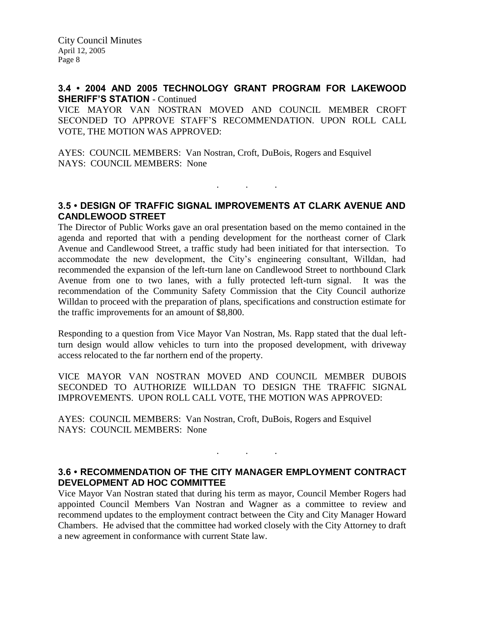#### **3.4 • 2004 AND 2005 TECHNOLOGY GRANT PROGRAM FOR LAKEWOOD SHERIFF'S STATION - Continued**

VICE MAYOR VAN NOSTRAN MOVED AND COUNCIL MEMBER CROFT SECONDED TO APPROVE STAFF'S RECOMMENDATION. UPON ROLL CALL VOTE, THE MOTION WAS APPROVED:

AYES: COUNCIL MEMBERS: Van Nostran, Croft, DuBois, Rogers and Esquivel NAYS: COUNCIL MEMBERS: None

## **3.5 • DESIGN OF TRAFFIC SIGNAL IMPROVEMENTS AT CLARK AVENUE AND CANDLEWOOD STREET**

. . .

The Director of Public Works gave an oral presentation based on the memo contained in the agenda and reported that with a pending development for the northeast corner of Clark Avenue and Candlewood Street, a traffic study had been initiated for that intersection. To accommodate the new development, the City's engineering consultant, Willdan, had recommended the expansion of the left-turn lane on Candlewood Street to northbound Clark Avenue from one to two lanes, with a fully protected left-turn signal. It was the recommendation of the Community Safety Commission that the City Council authorize Willdan to proceed with the preparation of plans, specifications and construction estimate for the traffic improvements for an amount of \$8,800.

Responding to a question from Vice Mayor Van Nostran, Ms. Rapp stated that the dual leftturn design would allow vehicles to turn into the proposed development, with driveway access relocated to the far northern end of the property.

VICE MAYOR VAN NOSTRAN MOVED AND COUNCIL MEMBER DUBOIS SECONDED TO AUTHORIZE WILLDAN TO DESIGN THE TRAFFIC SIGNAL IMPROVEMENTS. UPON ROLL CALL VOTE, THE MOTION WAS APPROVED:

AYES: COUNCIL MEMBERS: Van Nostran, Croft, DuBois, Rogers and Esquivel NAYS: COUNCIL MEMBERS: None

## **3.6 • RECOMMENDATION OF THE CITY MANAGER EMPLOYMENT CONTRACT DEVELOPMENT AD HOC COMMITTEE**

 $\mathbf{r}$  .  $\mathbf{r}$  ,  $\mathbf{r}$  ,  $\mathbf{r}$  ,  $\mathbf{r}$  ,  $\mathbf{r}$  ,  $\mathbf{r}$ 

Vice Mayor Van Nostran stated that during his term as mayor, Council Member Rogers had appointed Council Members Van Nostran and Wagner as a committee to review and recommend updates to the employment contract between the City and City Manager Howard Chambers. He advised that the committee had worked closely with the City Attorney to draft a new agreement in conformance with current State law.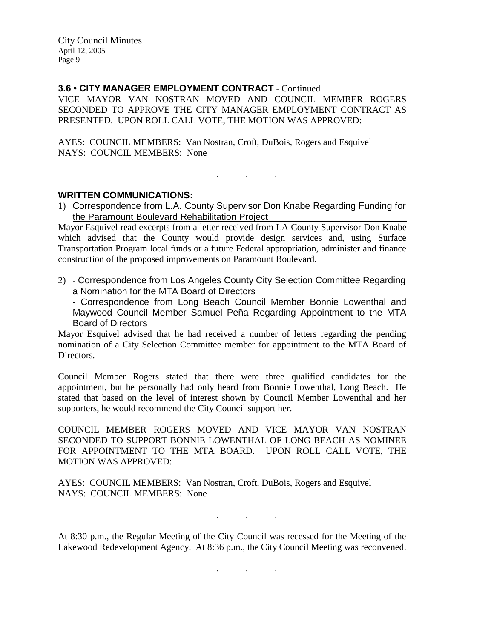#### **3.6 • CITY MANAGER EMPLOYMENT CONTRACT** - Continued

VICE MAYOR VAN NOSTRAN MOVED AND COUNCIL MEMBER ROGERS SECONDED TO APPROVE THE CITY MANAGER EMPLOYMENT CONTRACT AS PRESENTED. UPON ROLL CALL VOTE, THE MOTION WAS APPROVED:

AYES: COUNCIL MEMBERS: Van Nostran, Croft, DuBois, Rogers and Esquivel NAYS: COUNCIL MEMBERS: None

### **WRITTEN COMMUNICATIONS:**

1) Correspondence from L.A. County Supervisor Don Knabe Regarding Funding for the Paramount Boulevard Rehabilitation Project

. As we can consider the constant  $\mathcal{L}_\mathcal{A}$ 

Mayor Esquivel read excerpts from a letter received from LA County Supervisor Don Knabe which advised that the County would provide design services and, using Surface Transportation Program local funds or a future Federal appropriation, administer and finance construction of the proposed improvements on Paramount Boulevard.

2) - Correspondence from Los Angeles County City Selection Committee Regarding a Nomination for the MTA Board of Directors

- Correspondence from Long Beach Council Member Bonnie Lowenthal and Maywood Council Member Samuel Peña Regarding Appointment to the MTA Board of Directors

Mayor Esquivel advised that he had received a number of letters regarding the pending nomination of a City Selection Committee member for appointment to the MTA Board of Directors.

Council Member Rogers stated that there were three qualified candidates for the appointment, but he personally had only heard from Bonnie Lowenthal, Long Beach. He stated that based on the level of interest shown by Council Member Lowenthal and her supporters, he would recommend the City Council support her.

COUNCIL MEMBER ROGERS MOVED AND VICE MAYOR VAN NOSTRAN SECONDED TO SUPPORT BONNIE LOWENTHAL OF LONG BEACH AS NOMINEE FOR APPOINTMENT TO THE MTA BOARD. UPON ROLL CALL VOTE, THE MOTION WAS APPROVED:

AYES: COUNCIL MEMBERS: Van Nostran, Croft, DuBois, Rogers and Esquivel NAYS: COUNCIL MEMBERS: None

At 8:30 p.m., the Regular Meeting of the City Council was recessed for the Meeting of the Lakewood Redevelopment Agency. At 8:36 p.m., the City Council Meeting was reconvened.

. . .

. . .